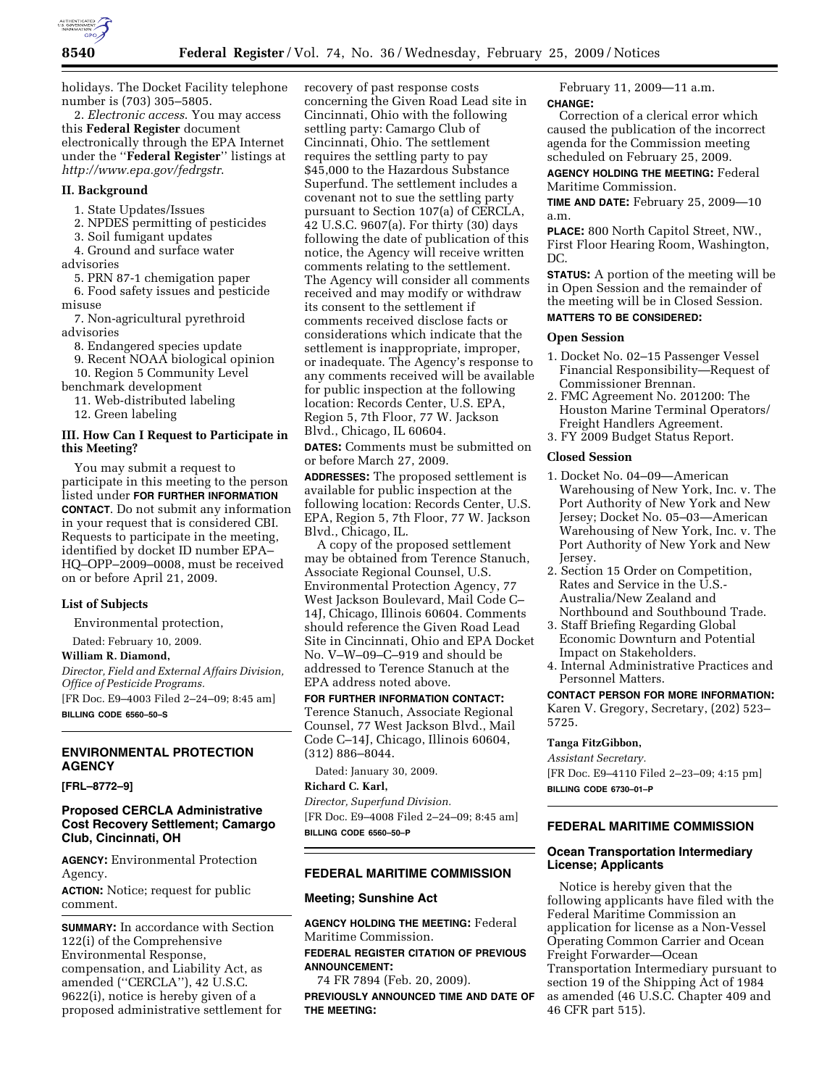

holidays. The Docket Facility telephone number is (703) 305–5805.

2. *Electronic access*. You may access this **Federal Register** document electronically through the EPA Internet under the ''**Federal Register**'' listings at *http://www.epa.gov/fedrgstr*.

#### **II. Background**

- 1. State Updates/Issues
- 2. NPDES permitting of pesticides
- 3. Soil fumigant updates
- 4. Ground and surface water
- advisories
	- 5. PRN 87-1 chemigation paper
- 6. Food safety issues and pesticide misuse

7. Non-agricultural pyrethroid advisories

- 8. Endangered species update
- 9. Recent NOAA biological opinion 10. Region 5 Community Level
- benchmark development
- 11. Web-distributed labeling
- 12. Green labeling

#### **III. How Can I Request to Participate in this Meeting?**

You may submit a request to participate in this meeting to the person listed under **FOR FURTHER INFORMATION CONTACT**. Do not submit any information in your request that is considered CBI. Requests to participate in the meeting, identified by docket ID number EPA– HQ–OPP–2009–0008, must be received on or before April 21, 2009.

#### **List of Subjects**

Environmental protection,

Dated: February 10, 2009.

**William R. Diamond,** 

*Director, Field and External Affairs Division, Office of Pesticide Programs.*  [FR Doc. E9–4003 Filed 2–24–09; 8:45 am]

**BILLING CODE 6560–50–S** 

#### **ENVIRONMENTAL PROTECTION AGENCY**

**[FRL–8772–9]** 

# **Proposed CERCLA Administrative Cost Recovery Settlement; Camargo Club, Cincinnati, OH**

**AGENCY:** Environmental Protection Agency.

**ACTION:** Notice; request for public comment.

**SUMMARY:** In accordance with Section 122(i) of the Comprehensive Environmental Response, compensation, and Liability Act, as amended (''CERCLA''), 42 U.S.C. 9622(i), notice is hereby given of a proposed administrative settlement for recovery of past response costs concerning the Given Road Lead site in Cincinnati, Ohio with the following settling party: Camargo Club of Cincinnati, Ohio. The settlement requires the settling party to pay \$45,000 to the Hazardous Substance Superfund. The settlement includes a covenant not to sue the settling party pursuant to Section 107(a) of CERCLA, 42 U.S.C. 9607(a). For thirty (30) days following the date of publication of this notice, the Agency will receive written comments relating to the settlement. The Agency will consider all comments received and may modify or withdraw its consent to the settlement if comments received disclose facts or considerations which indicate that the settlement is inappropriate, improper, or inadequate. The Agency's response to any comments received will be available for public inspection at the following location: Records Center, U.S. EPA, Region 5, 7th Floor, 77 W. Jackson Blvd., Chicago, IL 60604.

**DATES:** Comments must be submitted on or before March 27, 2009.

**ADDRESSES:** The proposed settlement is available for public inspection at the following location: Records Center, U.S. EPA, Region 5, 7th Floor, 77 W. Jackson Blvd., Chicago, IL.

A copy of the proposed settlement may be obtained from Terence Stanuch, Associate Regional Counsel, U.S. Environmental Protection Agency, 77 West Jackson Boulevard, Mail Code C– 14J, Chicago, Illinois 60604. Comments should reference the Given Road Lead Site in Cincinnati, Ohio and EPA Docket No. V–W–09–C–919 and should be addressed to Terence Stanuch at the EPA address noted above.

**FOR FURTHER INFORMATION CONTACT:**  Terence Stanuch, Associate Regional Counsel, 77 West Jackson Blvd., Mail Code C–14J, Chicago, Illinois 60604, (312) 886–8044.

Dated: January 30, 2009.

**Richard C. Karl,**  *Director, Superfund Division.* 

[FR Doc. E9–4008 Filed 2–24–09; 8:45 am] **BILLING CODE 6560–50–P** 

#### **FEDERAL MARITIME COMMISSION**

#### **Meeting; Sunshine Act**

**AGENCY HOLDING THE MEETING:** Federal Maritime Commission.

**FEDERAL REGISTER CITATION OF PREVIOUS ANNOUNCEMENT:** 

74 FR 7894 (Feb. 20, 2009). **PREVIOUSLY ANNOUNCED TIME AND DATE OF THE MEETING:** 

February 11, 2009—11 a.m. **CHANGE:** 

Correction of a clerical error which caused the publication of the incorrect agenda for the Commission meeting scheduled on February 25, 2009.

**AGENCY HOLDING THE MEETING:** Federal Maritime Commission.

**TIME AND DATE:** February 25, 2009—10 a.m.

**PLACE:** 800 North Capitol Street, NW., First Floor Hearing Room, Washington, DC.

**STATUS:** A portion of the meeting will be in Open Session and the remainder of the meeting will be in Closed Session. **MATTERS TO BE CONSIDERED:** 

# **Open Session**

- 1. Docket No. 02–15 Passenger Vessel Financial Responsibility—Request of Commissioner Brennan.
- 2. FMC Agreement No. 201200: The Houston Marine Terminal Operators/ Freight Handlers Agreement.
- 3. FY 2009 Budget Status Report.

# **Closed Session**

- 1. Docket No. 04–09—American Warehousing of New York, Inc. v. The Port Authority of New York and New Jersey; Docket No. 05–03—American Warehousing of New York, Inc. v. The Port Authority of New York and New Jersey.
- 2. Section 15 Order on Competition, Rates and Service in the U.S.-Australia/New Zealand and Northbound and Southbound Trade.
- 3. Staff Briefing Regarding Global Economic Downturn and Potential Impact on Stakeholders.
- 4. Internal Administrative Practices and Personnel Matters.

#### **CONTACT PERSON FOR MORE INFORMATION:**

Karen V. Gregory, Secretary, (202) 523– 5725.

#### **Tanga FitzGibbon,**

*Assistant Secretary.*  [FR Doc. E9–4110 Filed 2–23–09; 4:15 pm] **BILLING CODE 6730–01–P** 

## **FEDERAL MARITIME COMMISSION**

# **Ocean Transportation Intermediary License; Applicants**

Notice is hereby given that the following applicants have filed with the Federal Maritime Commission an application for license as a Non-Vessel Operating Common Carrier and Ocean Freight Forwarder—Ocean Transportation Intermediary pursuant to section 19 of the Shipping Act of 1984 as amended (46 U.S.C. Chapter 409 and 46 CFR part 515).